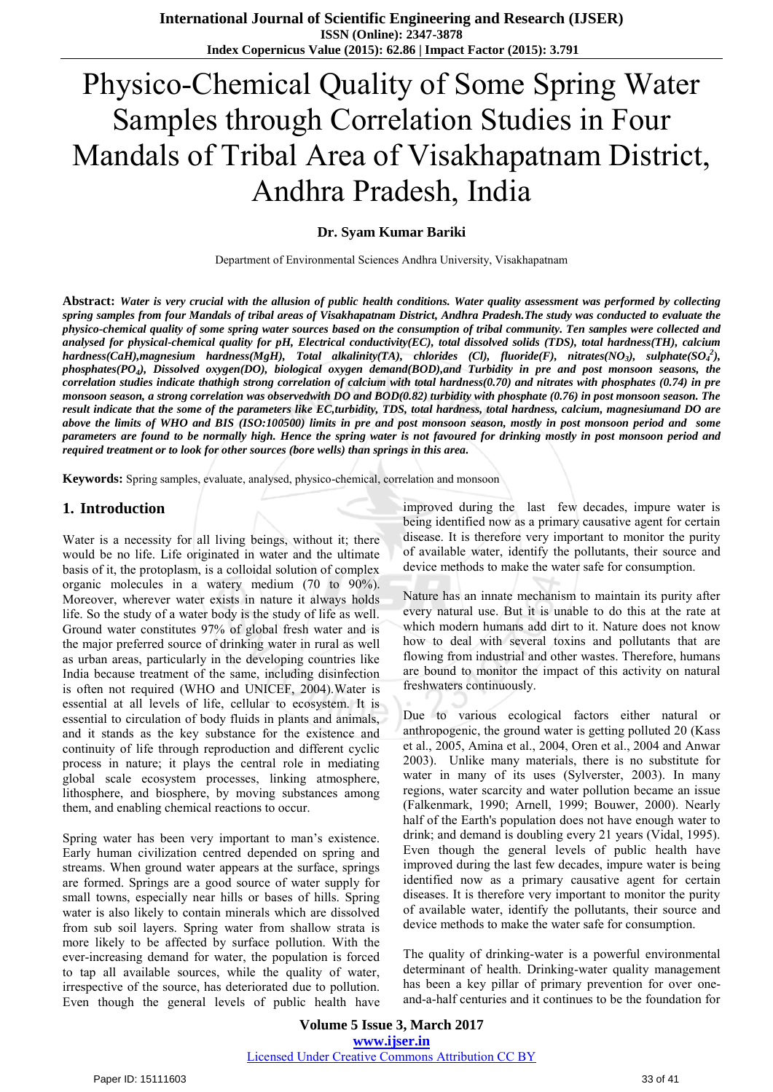# Physico-Chemical Quality of Some Spring Water Samples through Correlation Studies in Four Mandals of Tribal Area of Visakhapatnam District, Andhra Pradesh, India

#### **Dr. Syam Kumar Bariki**

Department of Environmental Sciences Andhra University, Visakhapatnam

**Abstract:** *Water is very crucial with the allusion of public health conditions. Water quality assessment was performed by collecting spring samples from four Mandals of tribal areas of Visakhapatnam District, Andhra Pradesh.The study was conducted to evaluate the physico-chemical quality of some spring water sources based on the consumption of tribal community. Ten samples were collected and analysed for physical-chemical quality for pH, Electrical conductivity(EC), total dissolved solids (TDS), total hardness(TH), calcium hardness(CaH),magnesium hardness(MgH), Total alkalinity(TA), chlorides (Cl), fluoride(F), nitrates(NO<sup>3</sup> ), sulphate(SO<sup>4</sup> 2 ), phosphates(PO<sup>4</sup> ), Dissolved oxygen(DO), biological oxygen demand(BOD),and Turbidity in pre and post monsoon seasons, the correlation studies indicate thathigh strong correlation of calcium with total hardness(0.70) and nitrates with phosphates (0.74) in pre monsoon season, a strong correlation was observedwith DO and BOD(0.82) turbidity with phosphate (0.76) in post monsoon season. The result indicate that the some of the parameters like EC,turbidity, TDS, total hardness, total hardness, calcium, magnesiumand DO are above the limits of WHO and BIS (ISO:100500) limits in pre and post monsoon season, mostly in post monsoon period and some parameters are found to be normally high. Hence the spring water is not favoured for drinking mostly in post monsoon period and required treatment or to look for other sources (bore wells) than springs in this area.* 

**Keywords:** Spring samples, evaluate, analysed, physico-chemical, correlation and monsoon

#### **1. Introduction**

Water is a necessity for all living beings, without it; there would be no life. Life originated in water and the ultimate basis of it, the protoplasm, is a colloidal solution of complex organic molecules in a watery medium (70 to 90%). Moreover, wherever water exists in nature it always holds life. So the study of a water body is the study of life as well. Ground water constitutes 97% of global fresh water and is the major preferred source of drinking water in rural as well as urban areas, particularly in the developing countries like India because treatment of the same, including disinfection is often not required (WHO and UNICEF, 2004).Water is essential at all levels of life, cellular to ecosystem. It is essential to circulation of body fluids in plants and animals, and it stands as the key substance for the existence and continuity of life through reproduction and different cyclic process in nature; it plays the central role in mediating global scale ecosystem processes, linking atmosphere, lithosphere, and biosphere, by moving substances among them, and enabling chemical reactions to occur.

Spring water has been very important to man's existence. Early human civilization centred depended on spring and streams. When ground water appears at the surface, springs are formed. Springs are a good source of water supply for small towns, especially near hills or bases of hills. Spring water is also likely to contain minerals which are dissolved from sub soil layers. Spring water from shallow strata is more likely to be affected by surface pollution. With the ever-increasing demand for water, the population is forced to tap all available sources, while the quality of water, irrespective of the source, has deteriorated due to pollution. Even though the general levels of public health have improved during the last few decades, impure water is being identified now as a primary causative agent for certain disease. It is therefore very important to monitor the purity of available water, identify the pollutants, their source and device methods to make the water safe for consumption.

Nature has an innate mechanism to maintain its purity after every natural use. But it is unable to do this at the rate at which modern humans add dirt to it. Nature does not know how to deal with several toxins and pollutants that are flowing from industrial and other wastes. Therefore, humans are bound to monitor the impact of this activity on natural freshwaters continuously.

Due to various ecological factors either natural or anthropogenic, the ground water is getting polluted 20 (Kass et al., 2005, Amina et al., 2004, Oren et al., 2004 and Anwar 2003). Unlike many materials, there is no substitute for water in many of its uses (Sylverster, 2003). In many regions, water scarcity and water pollution became an issue (Falkenmark, 1990; Arnell, 1999; Bouwer, 2000). Nearly half of the Earth's population does not have enough water to drink; and demand is doubling every 21 years (Vidal, 1995). Even though the general levels of public health have improved during the last few decades, impure water is being identified now as a primary causative agent for certain diseases. It is therefore very important to monitor the purity of available water, identify the pollutants, their source and device methods to make the water safe for consumption.

The quality of drinking-water is a powerful environmental determinant of health. Drinking-water quality management has been a key pillar of primary prevention for over oneand-a-half centuries and it continues to be the foundation for

**Volume 5 Issue 3, March 2017 www.ijser.in** Licensed Under Creative Commons Attribution CC BY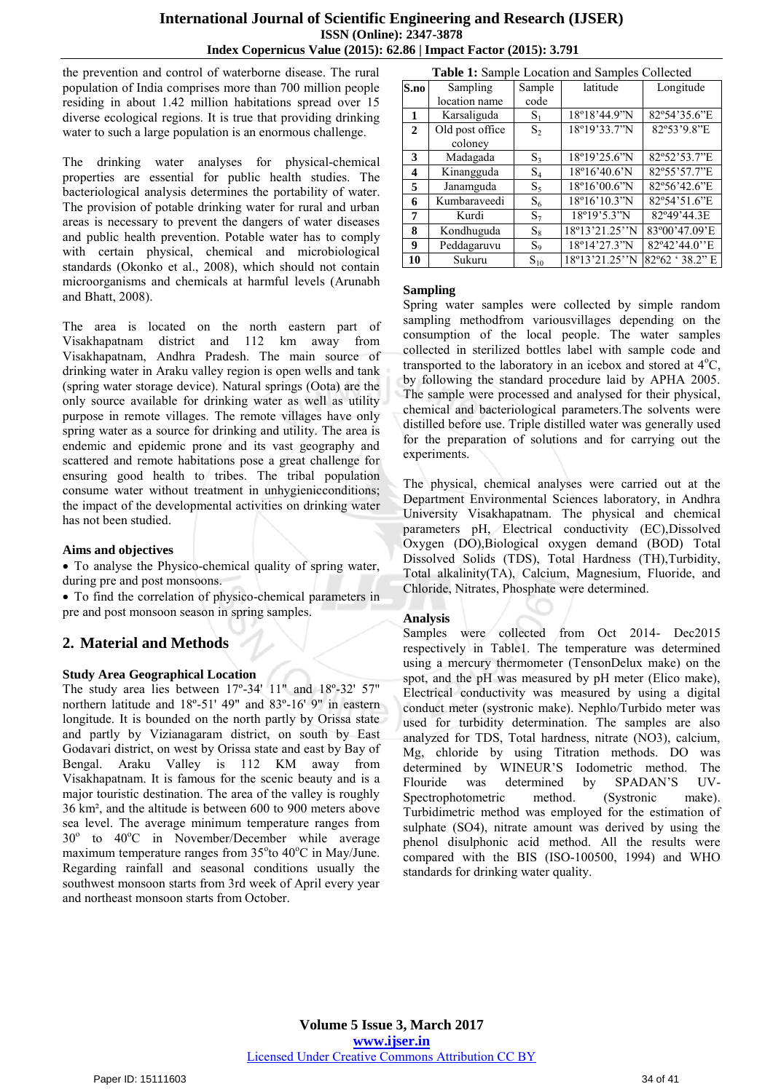the prevention and control of waterborne disease. The rural population of India comprises more than 700 million people residing in about 1.42 million habitations spread over 15 diverse ecological regions. It is true that providing drinking water to such a large population is an enormous challenge.

The drinking water analyses for physical-chemical properties are essential for public health studies. The bacteriological analysis determines the portability of water. The provision of potable drinking water for rural and urban areas is necessary to prevent the dangers of water diseases and public health prevention. Potable water has to comply with certain physical, chemical and microbiological standards (Okonko et al., 2008), which should not contain microorganisms and chemicals at harmful levels (Arunabh and Bhatt, 2008).

The area is located on the north eastern part of Visakhapatnam district and 112 km away from Visakhapatnam, Andhra Pradesh. The main source of drinking water in Araku valley region is open wells and tank (spring water storage device). Natural springs (Oota) are the only source available for drinking water as well as utility purpose in remote villages. The remote villages have only spring water as a source for drinking and utility. The area is endemic and epidemic prone and its vast geography and scattered and remote habitations pose a great challenge for ensuring good health to tribes. The tribal population consume water without treatment in unhygienicconditions; the impact of the developmental activities on drinking water has not been studied.

#### **Aims and objectives**

 To analyse the Physico-chemical quality of spring water, during pre and post monsoons.

 To find the correlation of physico-chemical parameters in pre and post monsoon season in spring samples.

## **2. Material and Methods**

#### **Study Area Geographical Location**

The study area lies between 17º-34' 11" and 18º-32' 57" northern latitude and 18º-51' 49" and 83º-16' 9" in eastern longitude. It is bounded on the north partly by Orissa state and partly by Vizianagaram district, on south by East Godavari district, on west by Orissa state and east by Bay of Bengal. [Araku Valley](http://en.wikipedia.org/wiki/Araku_Valley) is 112 KM away from Visakhapatnam. It is famous for the scenic beauty and is a major touristic destination. The area of the valley is roughly 36 km², and the altitude is between 600 to 900 meters above sea level. The average minimum temperature ranges from 30° to 40°C in November/December while average maximum temperature ranges from  $35^{\circ}$ to  $40^{\circ}$ C in May/June. Regarding rainfall and seasonal conditions usually the southwest monsoon starts from 3rd week of April every year and northeast monsoon starts from October.

|              | Table 1: Sample Location and Samples Collected |                |                        |                 |  |  |  |  |  |  |  |  |  |  |
|--------------|------------------------------------------------|----------------|------------------------|-----------------|--|--|--|--|--|--|--|--|--|--|
| S.no         | Sampling                                       | Sample         | latitude               | Longitude       |  |  |  |  |  |  |  |  |  |  |
|              | location name                                  | code           |                        |                 |  |  |  |  |  |  |  |  |  |  |
| 1            | Karsaliguda                                    | $S_1$          | 18°18'44.9"N           | 82°54'35.6"E    |  |  |  |  |  |  |  |  |  |  |
| $\mathbf{2}$ | Old post office                                | S <sub>2</sub> | 18°19'33.7"N           | 82°53'9.8"E     |  |  |  |  |  |  |  |  |  |  |
|              | coloney                                        |                |                        |                 |  |  |  |  |  |  |  |  |  |  |
| 3            | Madagada                                       | $S_3$          | 18°19'25.6"N           | 82°52'53.7"E    |  |  |  |  |  |  |  |  |  |  |
| 4            | Kinangguda                                     | $S_4$          | $18^{\circ}16'40.6'$ N | 82°55'57.7"E    |  |  |  |  |  |  |  |  |  |  |
| 5            | Janamguda                                      | $S_5$          | 18°16'00.6"N           | 82°56'42.6"E    |  |  |  |  |  |  |  |  |  |  |
| 6            | Kumbaraveedi                                   | $S_6$          | $18^{\circ}16'10.3''N$ | 82°54'51.6"E    |  |  |  |  |  |  |  |  |  |  |
| 7            | Kurdi                                          | $S_7$          | $18^{\circ}19'5.3''N$  | 82°49'44.3E     |  |  |  |  |  |  |  |  |  |  |
| 8            | Kondhuguda                                     | $S_8$          | 18°13'21.25"N          | 83°00'47.09'E   |  |  |  |  |  |  |  |  |  |  |
| 9            | Peddagaruvu                                    | $S_9$          | 18°14'27.3"N           | 82°42'44.0"E    |  |  |  |  |  |  |  |  |  |  |
| 10           | Sukuru                                         | $S_{10}$       | 18°13'21.25"N          | 82°62 ' 38.2" E |  |  |  |  |  |  |  |  |  |  |

#### **Sampling**

Spring water samples were collected by simple random sampling methodfrom variousvillages depending on the consumption of the local people. The water samples collected in sterilized bottles label with sample code and transported to the laboratory in an icebox and stored at  $4^{\circ}C$ , by following the standard procedure laid by APHA 2005. The sample were processed and analysed for their physical, chemical and bacteriological parameters.The solvents were distilled before use. Triple distilled water was generally used for the preparation of solutions and for carrying out the experiments.

The physical, chemical analyses were carried out at the Department Environmental Sciences laboratory, in Andhra University Visakhapatnam. The physical and chemical parameters pH, Electrical conductivity (EC),Dissolved Oxygen (DO),Biological oxygen demand (BOD) Total Dissolved Solids (TDS), Total Hardness (TH),Turbidity, Total alkalinity(TA), Calcium, Magnesium, Fluoride, and Chloride, Nitrates, Phosphate were determined.

#### **Analysis**

Samples were collected from Oct 2014- Dec2015 respectively in Table1. The temperature was determined using a mercury thermometer (TensonDelux make) on the spot, and the pH was measured by pH meter (Elico make), Electrical conductivity was measured by using a digital conduct meter (systronic make). Nephlo/Turbido meter was used for turbidity determination. The samples are also analyzed for TDS, Total hardness, nitrate (NO3), calcium, Mg, chloride by using Titration methods. DO was determined by WINEUR'S Iodometric method. The Flouride was determined by SPADAN'S UV-Spectrophotometric method. (Systronic make). Turbidimetric method was employed for the estimation of sulphate (SO4), nitrate amount was derived by using the phenol disulphonic acid method. All the results were compared with the BIS (ISO-100500, 1994) and WHO standards for drinking water quality.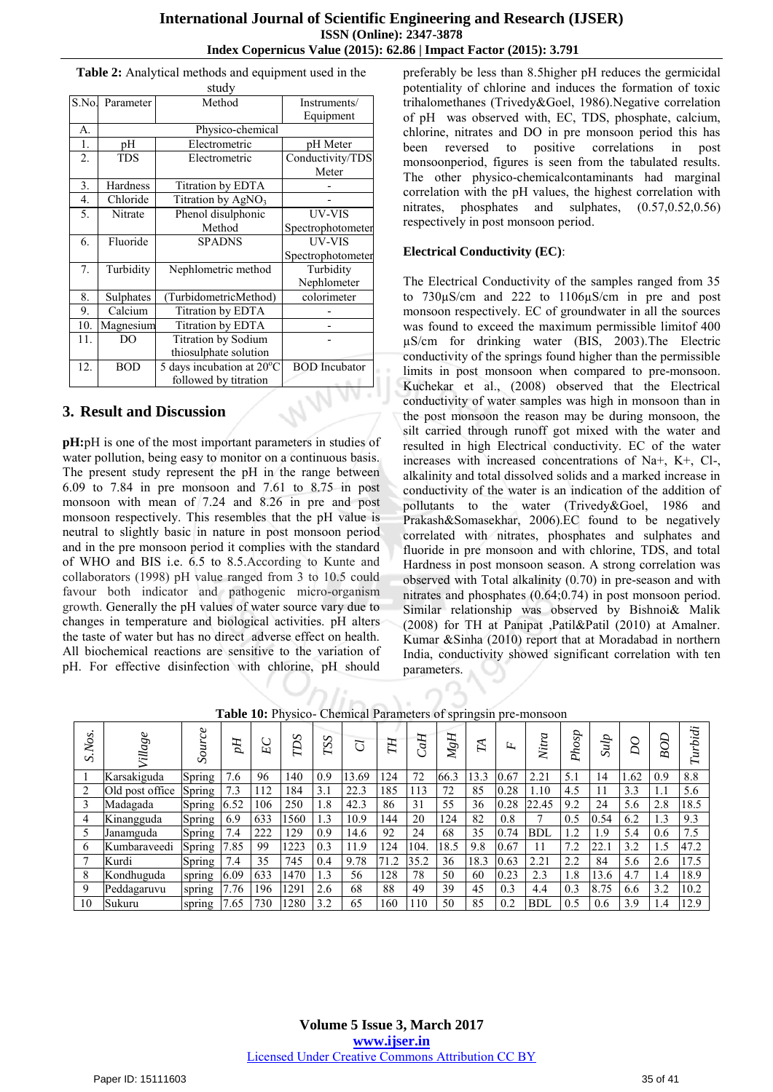|       |            | study                     |                      |
|-------|------------|---------------------------|----------------------|
| S.No. | Parameter  | Method                    | Instruments/         |
|       |            | Equipment                 |                      |
| А.    |            | Physico-chemical          |                      |
| 1.    | pH         | Electrometric             | pH Meter             |
| 2.    | <b>TDS</b> | Electrometric             | Conductivity/TDS     |
|       |            |                           | Meter                |
| 3.    | Hardness   | Titration by EDTA         |                      |
| 4.    | Chloride   | Titration by $AgNO3$      |                      |
| 5.    | Nitrate    | Phenol disulphonic        | UV-VIS               |
|       |            | Method                    | Spectrophotometer    |
| 6.    | Fluoride   | <b>SPADNS</b>             | <b>UV-VIS</b>        |
|       |            |                           | Spectrophotometer    |
| 7.    | Turbidity  | Nephlometric method       | Turbidity            |
|       |            |                           | Nephlometer          |
| 8.    | Sulphates  | (TurbidometricMethod)     | colorimeter          |
| 9.    | Calcium    | Titration by EDTA         |                      |
| 10.   | Magnesium  | Titration by EDTA         |                      |
| 11.   | DO         | Titration by Sodium       |                      |
|       |            | thiosulphate solution     |                      |
| 12.   | <b>BOD</b> | 5 days incubation at 20°C | <b>BOD</b> Incubator |
|       |            | followed by titration     |                      |

#### **Table 2:** Analytical methods and equipment used in the

## **3. Result and Discussion**

**pH:**pH is one of the most important parameters in studies of water pollution, being easy to monitor on a continuous basis. The present study represent the pH in the range between 6.09 to 7.84 in pre monsoon and 7.61 to 8.75 in post monsoon with mean of 7.24 and 8.26 in pre and post monsoon respectively. This resembles that the pH value is neutral to slightly basic in nature in post monsoon period and in the pre monsoon period it complies with the standard of WHO and BIS i.e. 6.5 to 8.5.According to Kunte and collaborators (1998) pH value ranged from 3 to 10.5 could favour both indicator and pathogenic micro-organism growth. Generally the pH values of water source vary due to changes in temperature and biological activities. pH alters the taste of water but has no direct adverse effect on health. All biochemical reactions are sensitive to the variation of pH. For effective disinfection with chlorine, pH should preferably be less than 8.5higher pH reduces the germicidal potentiality of chlorine and induces the formation of toxic trihalomethanes (Trivedy&Goel, 1986).Negative correlation of pH was observed with, EC, TDS, phosphate, calcium, chlorine, nitrates and DO in pre monsoon period this has been reversed to positive correlations in post monsoonperiod, figures is seen from the tabulated results. The other physico-chemicalcontaminants had marginal correlation with the pH values, the highest correlation with nitrates, phosphates and sulphates, (0.57,0.52,0.56) respectively in post monsoon period.

#### **Electrical Conductivity (EC)**:

The Electrical Conductivity of the samples ranged from 35 to 730µS/cm and 222 to 1106µS/cm in pre and post monsoon respectively. EC of groundwater in all the sources was found to exceed the maximum permissible limitof 400 µS/cm for drinking water (BIS, 2003).The Electric conductivity of the springs found higher than the permissible limits in post monsoon when compared to pre-monsoon. Kuchekar et al., (2008) observed that the Electrical conductivity of water samples was high in monsoon than in the post monsoon the reason may be during monsoon, the silt carried through runoff got mixed with the water and resulted in high Electrical conductivity. EC of the water increases with increased concentrations of Na+, K+, Cl-, alkalinity and total dissolved solids and a marked increase in conductivity of the water is an indication of the addition of pollutants to the water (Trivedy&Goel, 1986 and Prakash&Somasekhar, 2006).EC found to be negatively correlated with nitrates, phosphates and sulphates and fluoride in pre monsoon and with chlorine, TDS, and total Hardness in post monsoon season. A strong correlation was observed with Total alkalinity (0.70) in pre-season and with nitrates and phosphates (0.64;0.74) in post monsoon period. Similar relationship was observed by Bishnoi& Malik (2008) for TH at Panipat ,Patil&Patil (2010) at Amalner. Kumar &Sinha (2010) report that at Moradabad in northern India, conductivity showed significant correlation with ten parameters.

**Table 10:** Physico- Chemical Parameters of springsin pre-monsoon

| S.<br>Š.<br>ら | ο<br>Villag     | $\mathcal O$<br>Sou | H<br>D. | $E$ C | SŒZ  | TSS | ರ     | FП   | E<br>d | MgH  | FA   | ĿL.  | Νü         | Ŗ<br>9y | Sulp | O<br>$\Omega$ | B    | ä<br>تہ۔<br>z, |
|---------------|-----------------|---------------------|---------|-------|------|-----|-------|------|--------|------|------|------|------------|---------|------|---------------|------|----------------|
|               | Karsakiguda     | Spring              | 7.6     | 96    | 140  | 0.9 | 13.69 | 124  | 72     | 66.3 | 13.3 | 0.67 | 2.21       | 5.1     | 14   | 1.62          | 0.9  | 8.8            |
|               | Old post office | Spring              | 7.3     | 112   | 184  | 3.1 | 22.3  | 185  | 113    | 72   | 85   | 0.28 | 1.10       | 4.5     | 11   | 3.3           | 1.1  | 5.6            |
|               | Madagada        | Spring              | 6.52    | 106   | 250  | 1.8 | 42.3  | 86   | 31     | 55   | 36   | 0.28 | 22.45      | 9.2     | 24   | 5.6           | 2.8  | 18.5           |
| 4             | Kinangguda      | Spring              | 6.9     | 633   | 1560 | 1.3 | 10.9  | 144  | 20     | 124  | 82   | 0.8  |            | 0.5     | 0.54 | 6.2           | 1.3  | 9.3            |
|               | Janamguda       | Spring              | 7.4     | 222   | 129  | 0.9 | 14.6  | 92   | 24     | 68   | 35   | 0.74 | <b>BDL</b> | 1.2     | 1.9  | 5.4           | 0.6  | 7.5            |
| <sub>b</sub>  | Kumbaraveedi    | Spring              | 7.85    | 99    | 1223 | 0.3 | 11.9  | 124  | 104.   | 18.5 | 9.8  | 0.67 |            | 7.2     | 22.1 | 3.2           | 1.5  | 47.2           |
|               | Kurdi           | Spring              | 7.4     | 35    | 745  | 0.4 | 9.78  | 71.2 | 35.2   | 36   | 18.3 | 0.63 | 2.21       | 2.2     | 84   | 5.6           | 2.6  | 17.5           |
| 8             | Kondhuguda      | spring              | 6.09    | 633   | 1470 | 1.3 | 56    | 128  | 78     | 50   | 60   | 0.23 | 2.3        | 1.8     | 13.6 | 4.7           | 1.4  | 18.9           |
| 9             | Peddagaruvu     | spring              | 7.76    | 196   | 1291 | 2.6 | 68    | 88   | 49     | 39   | 45   | 0.3  | 4.4        | 0.3     | 8.75 | 6.6           | 3.2  | 10.2           |
| 10            | Sukuru          | spring              | 7.65    | 730   | 1280 | 3.2 | 65    | 160  | 110    | 50   | 85   | 0.2  | <b>BDL</b> | 0.5     | 0.6  | 3.9           | l .4 | 12.9           |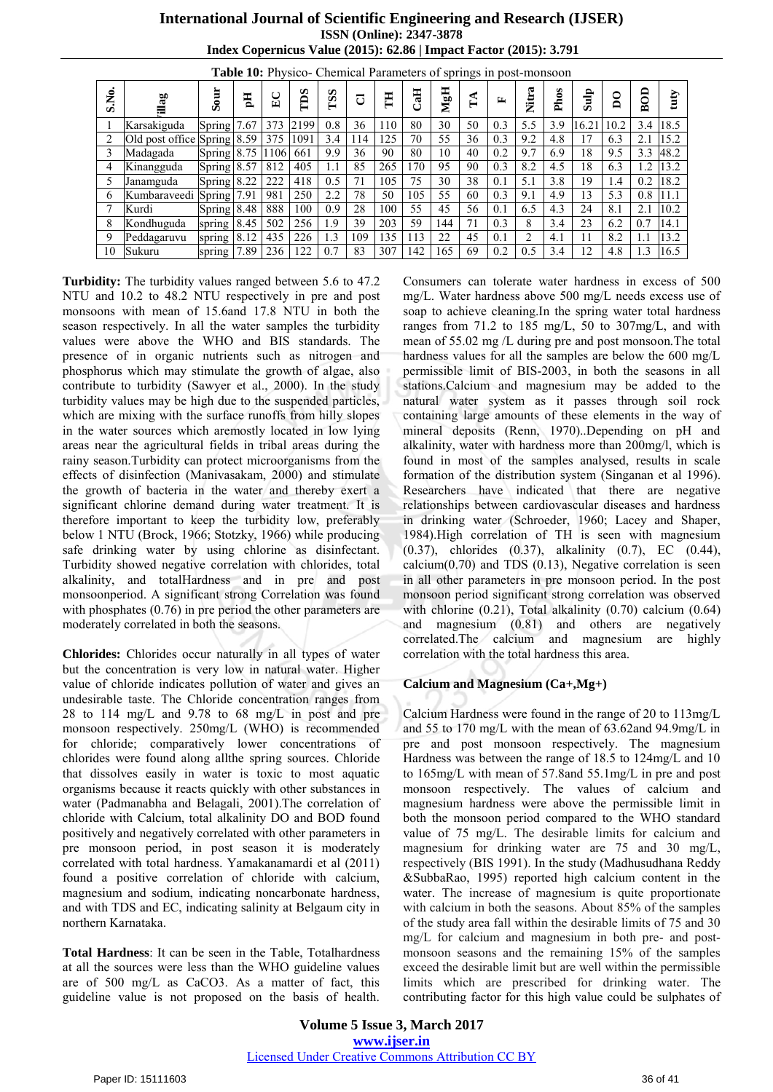## **International Journal of Scientific Engineering and Research (IJSER) ISSN (Online): 2347-3878 Index Copernicus Value (2015): 62.86 | Impact Factor (2015): 3.791**

| S.No.<br>MgH<br>Nitra<br>Phos<br>Sour<br>BOD<br>H<br>Sulp<br>TDS<br><b>TSS</b><br>H<br>Eq<br>$E_{\rm C}$<br>$\mathsf{g}% _{0}\!\left( \mathcal{N}\right) \equiv\mathsf{g}_{\mathrm{m}}\!\left( \mathcal{N}\right) \left( \mathcal{N}\right)$<br>illag<br>$\mathbb{I}^{\mathbb{A}}$<br>ರ<br>≃<br>Ü<br>30<br>5.5<br>0.8<br>80<br>7.67<br>373<br>2199<br>110<br>50<br>3.9<br>16.21<br>36<br>0.3<br>10.2<br>Karsakiguda<br>3.4<br>Spring<br>Old post office Spring 8.59<br>55<br>125<br>70<br>36<br>9.2<br>1091<br>3.4<br>0.3<br>4.8<br>$\overline{2}$<br>375<br>114<br>17<br>6.3<br>2.1<br>9.9<br>18<br>90<br>80<br>10<br>0.2<br>9.7<br>9.5<br>3<br>Spring $8.75$<br>661<br>36<br>40<br>6.9<br>3.3<br> 1106 <br>Madagada<br>265<br>95<br>18<br>405<br>85<br>170<br>0.3<br>8.2<br>4.5<br>6.3<br>Spring $8.57$<br>812<br>1.1<br>90<br>1.2<br>Kinangguda<br>4<br>75<br>30<br>38<br>19<br>Spring 8.22<br>222<br>418<br>0.5<br>105<br>5.1<br>3.8<br>0.2<br>5<br>71<br>0.1<br>1.4<br>Janamguda<br>50<br>55<br>250<br>2.2<br>78<br>105<br>13<br>5.3<br>981<br>0.3<br>9.1<br>4.9<br>Spring 7.91<br>60<br>0.8<br>Kumbaraveedi<br>6 | <b>Table To:</b> Physico- Chemical Parameters of springs in post-monsoon |  |  |     |     |     |    |     |    |    |    |     |     |     |    |     |     |      |
|------------------------------------------------------------------------------------------------------------------------------------------------------------------------------------------------------------------------------------------------------------------------------------------------------------------------------------------------------------------------------------------------------------------------------------------------------------------------------------------------------------------------------------------------------------------------------------------------------------------------------------------------------------------------------------------------------------------------------------------------------------------------------------------------------------------------------------------------------------------------------------------------------------------------------------------------------------------------------------------------------------------------------------------------------------------------------------------------------------------------|--------------------------------------------------------------------------|--|--|-----|-----|-----|----|-----|----|----|----|-----|-----|-----|----|-----|-----|------|
|                                                                                                                                                                                                                                                                                                                                                                                                                                                                                                                                                                                                                                                                                                                                                                                                                                                                                                                                                                                                                                                                                                                        |                                                                          |  |  |     |     |     |    |     |    |    |    |     |     |     |    |     |     | tuty |
|                                                                                                                                                                                                                                                                                                                                                                                                                                                                                                                                                                                                                                                                                                                                                                                                                                                                                                                                                                                                                                                                                                                        |                                                                          |  |  |     |     |     |    |     |    |    |    |     |     |     |    |     |     | 18.5 |
|                                                                                                                                                                                                                                                                                                                                                                                                                                                                                                                                                                                                                                                                                                                                                                                                                                                                                                                                                                                                                                                                                                                        |                                                                          |  |  |     |     |     |    |     |    |    |    |     |     |     |    |     |     | 15.2 |
|                                                                                                                                                                                                                                                                                                                                                                                                                                                                                                                                                                                                                                                                                                                                                                                                                                                                                                                                                                                                                                                                                                                        |                                                                          |  |  |     |     |     |    |     |    |    |    |     |     |     |    |     |     | 48.2 |
|                                                                                                                                                                                                                                                                                                                                                                                                                                                                                                                                                                                                                                                                                                                                                                                                                                                                                                                                                                                                                                                                                                                        |                                                                          |  |  |     |     |     |    |     |    |    |    |     |     |     |    |     |     | 13.2 |
|                                                                                                                                                                                                                                                                                                                                                                                                                                                                                                                                                                                                                                                                                                                                                                                                                                                                                                                                                                                                                                                                                                                        |                                                                          |  |  |     |     |     |    |     |    |    |    |     |     |     |    |     |     | 18.2 |
|                                                                                                                                                                                                                                                                                                                                                                                                                                                                                                                                                                                                                                                                                                                                                                                                                                                                                                                                                                                                                                                                                                                        |                                                                          |  |  |     |     |     |    |     |    |    |    |     |     |     |    |     |     | 11.1 |
| Spring $8.48$                                                                                                                                                                                                                                                                                                                                                                                                                                                                                                                                                                                                                                                                                                                                                                                                                                                                                                                                                                                                                                                                                                          | Kurdi                                                                    |  |  | 888 | 100 | 0.9 | 28 | 100 | 55 | 45 | 56 | 0.1 | 6.5 | 4.3 | 24 | 8.1 | 2.1 | 10.2 |
| 1.9<br>203<br>59<br>71<br>23<br>8<br>502<br>256<br>39<br>144<br>0.3<br>8<br>3.4<br>6.2<br>Kondhuguda<br>8.45<br>0.7<br>spring                                                                                                                                                                                                                                                                                                                                                                                                                                                                                                                                                                                                                                                                                                                                                                                                                                                                                                                                                                                          |                                                                          |  |  |     |     |     |    |     |    |    |    |     |     |     |    |     |     | 14.1 |
| 22<br>435<br>226<br>1.3<br>135<br>113<br>45<br>2<br>8.2<br>109<br>11<br>9<br>Peddagaruvu<br>8.12<br>0.1<br>4.1<br>1.1<br>spring                                                                                                                                                                                                                                                                                                                                                                                                                                                                                                                                                                                                                                                                                                                                                                                                                                                                                                                                                                                        |                                                                          |  |  |     |     |     |    |     |    |    |    |     |     |     |    |     |     | 13.2 |
| 307<br>122<br>0.7<br>83<br>142<br>165<br>12<br>7.89<br>236<br>69<br>0.2<br>0.5<br>3.4<br>4.8<br>Sukuru<br>1.3<br>10<br>spring                                                                                                                                                                                                                                                                                                                                                                                                                                                                                                                                                                                                                                                                                                                                                                                                                                                                                                                                                                                          |                                                                          |  |  |     |     |     |    |     |    |    |    |     |     |     |    |     |     | 16.5 |

**Table 10:** Physico- Chemical Parameters of springs in post-monsoon

**Turbidity:** The turbidity values ranged between 5.6 to 47.2 NTU and 10.2 to 48.2 NTU respectively in pre and post monsoons with mean of 15.6and 17.8 NTU in both the season respectively. In all the water samples the turbidity values were above the WHO and BIS standards. The presence of in organic nutrients such as nitrogen and phosphorus which may stimulate the growth of algae, also contribute to turbidity (Sawyer et al., 2000). In the study turbidity values may be high due to the suspended particles, which are mixing with the surface runoffs from hilly slopes in the water sources which aremostly located in low lying areas near the agricultural fields in tribal areas during the rainy season.Turbidity can protect microorganisms from the effects of disinfection (Manivasakam, 2000) and stimulate the growth of bacteria in the water and thereby exert a significant chlorine demand during water treatment. It is therefore important to keep the turbidity low, preferably below 1 NTU (Brock, 1966; Stotzky, 1966) while producing safe drinking water by using chlorine as disinfectant. Turbidity showed negative correlation with chlorides, total alkalinity, and totalHardness and in pre and post monsoonperiod. A significant strong Correlation was found with phosphates (0.76) in pre period the other parameters are moderately correlated in both the seasons.

**Chlorides:** Chlorides occur naturally in all types of water but the concentration is very low in natural water. Higher value of chloride indicates pollution of water and gives an undesirable taste. The Chloride concentration ranges from 28 to 114 mg/L and 9.78 to 68 mg/L in post and pre monsoon respectively. 250mg/L (WHO) is recommended for chloride; comparatively lower concentrations of chlorides were found along allthe spring sources. Chloride that dissolves easily in water is toxic to most aquatic organisms because it reacts quickly with other substances in water (Padmanabha and Belagali, 2001).The correlation of chloride with Calcium, total alkalinity DO and BOD found positively and negatively correlated with other parameters in pre monsoon period, in post season it is moderately correlated with total hardness. Yamakanamardi et al (2011) found a positive correlation of chloride with calcium, magnesium and sodium, indicating noncarbonate hardness, and with TDS and EC, indicating salinity at Belgaum city in northern Karnataka.

**Total Hardness**: It can be seen in the Table, Totalhardness at all the sources were less than the WHO guideline values are of 500 mg/L as CaCO3. As a matter of fact, this guideline value is not proposed on the basis of health. Consumers can tolerate water hardness in excess of 500 mg/L. Water hardness above 500 mg/L needs excess use of soap to achieve cleaning.In the spring water total hardness ranges from 71.2 to 185 mg/L, 50 to 307mg/L, and with mean of 55.02 mg /L during pre and post monsoon*.*The total hardness values for all the samples are below the 600 mg/L permissible limit of BIS-2003, in both the seasons in all stations.Calcium and magnesium may be added to the natural water system as it passes through soil rock containing large amounts of these elements in the way of mineral deposits (Renn, 1970)..Depending on pH and alkalinity, water with hardness more than 200mg/l, which is found in most of the samples analysed, results in scale formation of the distribution system (Singanan et al 1996). Researchers have indicated that there are negative relationships between cardiovascular diseases and hardness in drinking water (Schroeder, 1960; Lacey and Shaper, 1984).High correlation of TH is seen with magnesium (0.37), chlorides (0.37), alkalinity (0.7), EC (0.44), calcium $(0.70)$  and TDS  $(0.13)$ , Negative correlation is seen in all other parameters in pre monsoon period. In the post monsoon period significant strong correlation was observed with chlorine (0.21), Total alkalinity (0.70) calcium (0.64) and magnesium (0.81) and others are negatively correlated.The calcium and magnesium are highly correlation with the total hardness this area.

## **Calcium and Magnesium (Ca+,Mg+)**

Calcium Hardness were found in the range of 20 to 113mg/L and 55 to 170 mg/L with the mean of 63.62and 94.9mg/L in pre and post monsoon respectively. The magnesium Hardness was between the range of 18.5 to 124mg/L and 10 to 165mg/L with mean of 57.8and 55.1mg/L in pre and post monsoon respectively. The values of calcium and magnesium hardness were above the permissible limit in both the monsoon period compared to the WHO standard value of 75 mg/L. The desirable limits for calcium and magnesium for drinking water are 75 and 30 mg/L, respectively (BIS 1991). In the study (Madhusudhana Reddy &SubbaRao, 1995) reported high calcium content in the water. The increase of magnesium is quite proportionate with calcium in both the seasons. About 85% of the samples of the study area fall within the desirable limits of 75 and 30 mg/L for calcium and magnesium in both pre- and postmonsoon seasons and the remaining 15% of the samples exceed the desirable limit but are well within the permissible limits which are prescribed for drinking water. The contributing factor for this high value could be sulphates of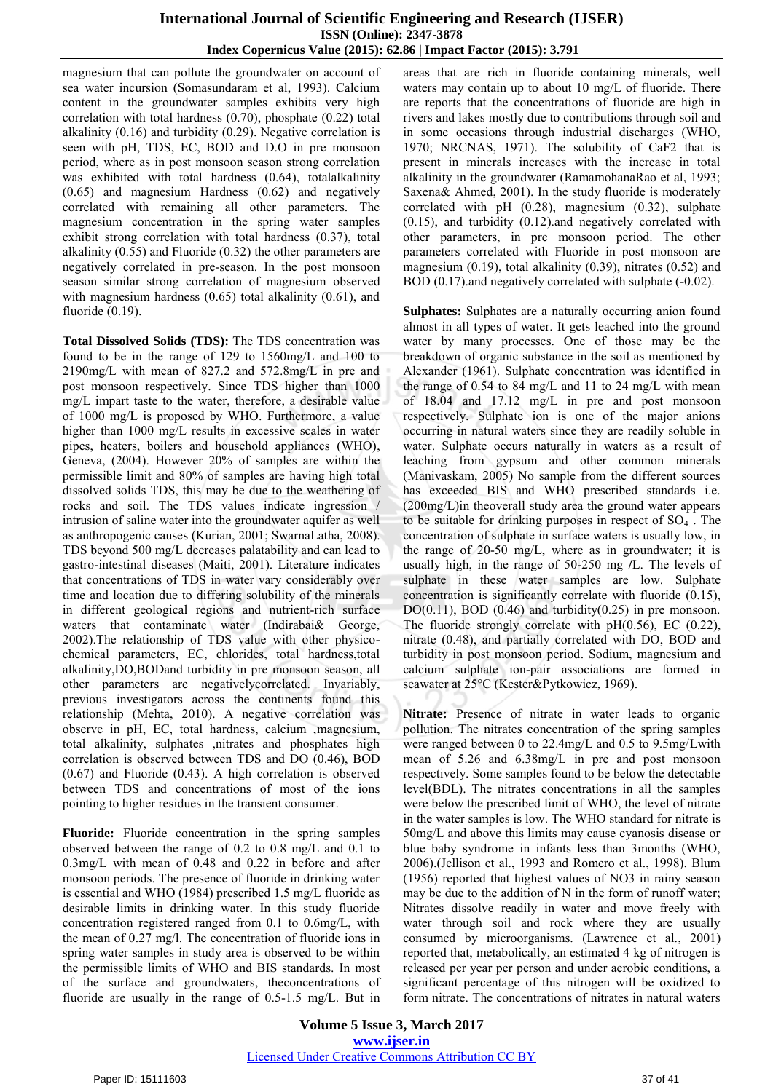magnesium that can pollute the groundwater on account of sea water incursion (Somasundaram et al, 1993). Calcium content in the groundwater samples exhibits very high correlation with total hardness (0.70), phosphate (0.22) total alkalinity (0.16) and turbidity (0.29). Negative correlation is seen with pH, TDS, EC, BOD and D.O in pre monsoon period, where as in post monsoon season strong correlation was exhibited with total hardness (0.64), totalalkalinity (0.65) and magnesium Hardness (0.62) and negatively correlated with remaining all other parameters. The magnesium concentration in the spring water samples exhibit strong correlation with total hardness (0.37), total alkalinity (0.55) and Fluoride (0.32) the other parameters are negatively correlated in pre-season. In the post monsoon season similar strong correlation of magnesium observed with magnesium hardness (0.65) total alkalinity (0.61), and fluoride (0.19).

**Total Dissolved Solids (TDS):** The TDS concentration was found to be in the range of 129 to 1560mg/L and 100 to 2190mg/L with mean of 827.2 and 572.8mg/L in pre and post monsoon respectively. Since TDS higher than 1000 mg/L impart taste to the water, therefore, a desirable value of 1000 mg/L is proposed by WHO. Furthermore, a value higher than 1000 mg/L results in excessive scales in water pipes, heaters, boilers and household appliances (WHO), Geneva, (2004). However 20% of samples are within the permissible limit and 80% of samples are having high total dissolved solids TDS, this may be due to the weathering of rocks and soil. The TDS values indicate ingression / intrusion of saline water into the groundwater aquifer as well as anthropogenic causes (Kurian, 2001; SwarnaLatha, 2008). TDS beyond 500 mg/L decreases palatability and can lead to gastro-intestinal diseases (Maiti, 2001). Literature indicates that concentrations of TDS in water vary considerably over time and location due to differing solubility of the minerals in different geological regions and nutrient-rich surface waters that contaminate water (Indirabai& George, 2002).The relationship of TDS value with other physicochemical parameters, EC, chlorides, total hardness,total alkalinity,DO,BODand turbidity in pre monsoon season, all other parameters are negativelycorrelated. Invariably, previous investigators across the continents found this relationship (Mehta, 2010). A negative correlation was observe in pH, EC, total hardness, calcium ,magnesium, total alkalinity, sulphates ,nitrates and phosphates high correlation is observed between TDS and DO (0.46), BOD (0.67) and Fluoride (0.43). A high correlation is observed between TDS and concentrations of most of the ions pointing to higher residues in the transient consumer.

**Fluoride:** Fluoride concentration in the spring samples observed between the range of 0.2 to 0.8 mg/L and 0.1 to 0.3mg/L with mean of 0.48 and 0.22 in before and after monsoon periods. The presence of fluoride in drinking water is essential and WHO (1984) prescribed 1.5 mg/L fluoride as desirable limits in drinking water. In this study fluoride concentration registered ranged from 0.1 to 0.6mg/L, with the mean of 0.27 mg/l. The concentration of fluoride ions in spring water samples in study area is observed to be within the permissible limits of WHO and BIS standards. In most of the surface and groundwaters, theconcentrations of fluoride are usually in the range of 0.5-1.5 mg/L. But in areas that are rich in fluoride containing minerals, well waters may contain up to about 10 mg/L of fluoride. There are reports that the concentrations of fluoride are high in rivers and lakes mostly due to contributions through soil and in some occasions through industrial discharges (WHO, 1970; NRCNAS, 1971). The solubility of CaF2 that is present in minerals increases with the increase in total alkalinity in the groundwater (RamamohanaRao et al, 1993; Saxena& Ahmed, 2001). In the study fluoride is moderately correlated with pH (0.28), magnesium (0.32), sulphate (0.15), and turbidity (0.12).and negatively correlated with other parameters, in pre monsoon period. The other parameters correlated with Fluoride in post monsoon are magnesium (0.19), total alkalinity (0.39), nitrates (0.52) and BOD (0.17).and negatively correlated with sulphate (-0.02).

**Sulphates:** Sulphates are a naturally occurring anion found almost in all types of water. It gets leached into the ground water by many processes. One of those may be the breakdown of organic substance in the soil as mentioned by Alexander (1961). Sulphate concentration was identified in the range of 0.54 to 84 mg/L and 11 to 24 mg/L with mean of 18.04 and 17.12 mg/L in pre and post monsoon respectively. Sulphate ion is one of the major anions occurring in natural waters since they are readily soluble in water. Sulphate occurs naturally in waters as a result of leaching from gypsum and other common minerals (Manivaskam, 2005) No sample from the different sources has exceeded BIS and WHO prescribed standards i.e. (200mg/L)in theoverall study area the ground water appears to be suitable for drinking purposes in respect of  $SO<sub>4</sub>$ . The concentration of sulphate in surface waters is usually low, in the range of 20-50 mg/L, where as in groundwater; it is usually high, in the range of 50-250 mg **/**L. The levels of sulphate in these water samples are low. Sulphate concentration is significantly correlate with fluoride (0.15),  $DO(0.11)$ ,  $BOD(0.46)$  and turbidity $(0.25)$  in pre monsoon. The fluoride strongly correlate with  $pH(0.56)$ , EC (0.22), nitrate (0.48), and partially correlated with DO, BOD and turbidity in post monsoon period. Sodium, magnesium and calcium sulphate ion-pair associations are formed in seawater at 25°C (Kester&Pytkowicz, 1969).

**Nitrate:** Presence of nitrate in water leads to organic pollution. The nitrates concentration of the spring samples were ranged between 0 to 22.4mg/L and 0.5 to 9.5mg/Lwith mean of 5.26 and 6.38mg/L in pre and post monsoon respectively. Some samples found to be below the detectable level(BDL). The nitrates concentrations in all the samples were below the prescribed limit of WHO, the level of nitrate in the water samples is low. The WHO standard for nitrate is 50mg/L and above this limits may cause cyanosis disease or blue baby syndrome in infants less than 3months (WHO, 2006).(Jellison et al., 1993 and Romero et al., 1998). Blum (1956) reported that highest values of NO3 in rainy season may be due to the addition of N in the form of runoff water; Nitrates dissolve readily in water and move freely with water through soil and rock where they are usually consumed by microorganisms. (Lawrence et al., 2001) reported that, metabolically, an estimated 4 kg of nitrogen is released per year per person and under aerobic conditions, a significant percentage of this nitrogen will be oxidized to form nitrate. The concentrations of nitrates in natural waters

**Volume 5 Issue 3, March 2017 www.ijser.in** Licensed Under Creative Commons Attribution CC BY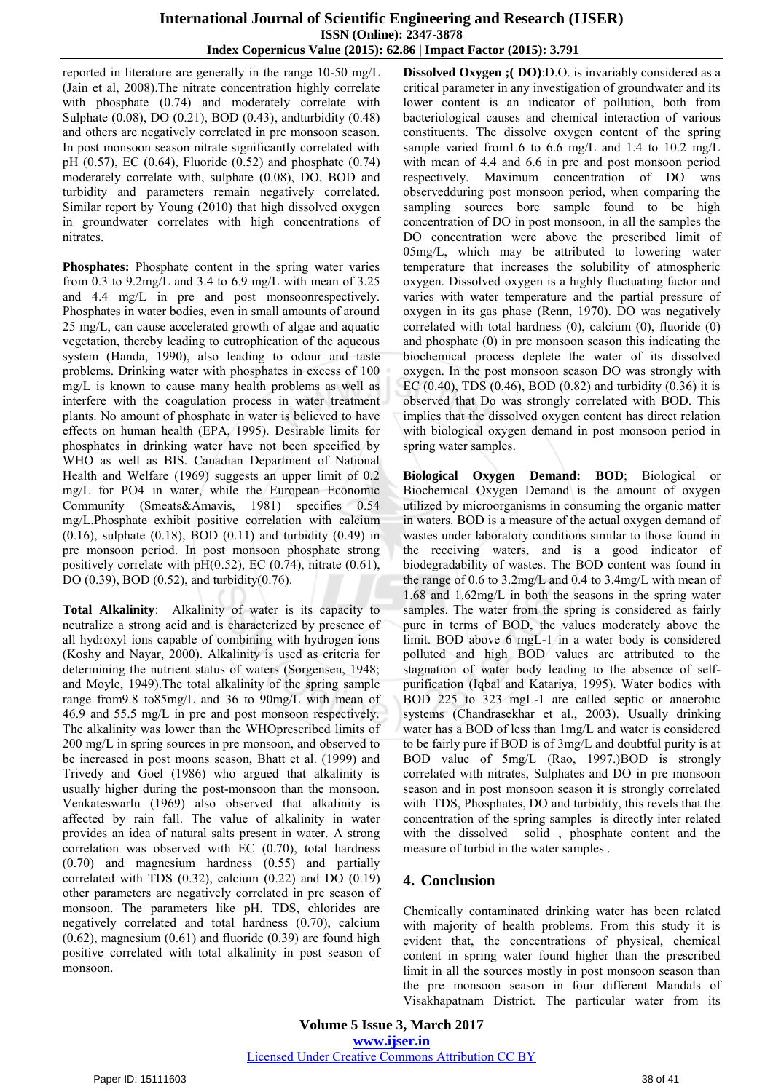#### **International Journal of Scientific Engineering and Research (IJSER) ISSN (Online): 2347-3878 Index Copernicus Value (2015): 62.86 | Impact Factor (2015): 3.791**

reported in literature are generally in the range 10-50 mg/L (Jain et al, 2008).The nitrate concentration highly correlate with phosphate (0.74) and moderately correlate with Sulphate (0.08), DO (0.21), BOD (0.43), andturbidity (0.48) and others are negatively correlated in pre monsoon season. In post monsoon season nitrate significantly correlated with pH (0.57), EC (0.64), Fluoride (0.52) and phosphate (0.74) moderately correlate with, sulphate (0.08), DO, BOD and turbidity and parameters remain negatively correlated. Similar report by Young (2010) that high dissolved oxygen in groundwater correlates with high concentrations of nitrates.

**Phosphates:** Phosphate content in the spring water varies from 0.3 to 9.2mg/L and 3.4 to 6.9 mg/L with mean of 3.25 and 4.4 mg/L in pre and post monsoonrespectively. Phosphates in water bodies, even in small amounts of around 25 mg/L, can cause accelerated growth of algae and aquatic vegetation, thereby leading to eutrophication of the aqueous system (Handa, 1990), also leading to odour and taste problems. Drinking water with phosphates in excess of 100 mg/L is known to cause many health problems as well as interfere with the coagulation process in water treatment plants. No amount of phosphate in water is believed to have effects on human health (EPA, 1995). Desirable limits for phosphates in drinking water have not been specified by WHO as well as BIS. Canadian Department of National Health and Welfare (1969) suggests an upper limit of 0.2 mg/L for PO4 in water, while the European Economic Community (Smeats&Amavis, 1981) specifies 0.54 mg/L.Phosphate exhibit positive correlation with calcium  $(0.16)$ , sulphate  $(0.18)$ , BOD  $(0.11)$  and turbidity  $(0.49)$  in pre monsoon period. In post monsoon phosphate strong positively correlate with  $pH(0.52)$ , EC (0.74), nitrate (0.61), DO (0.39), BOD (0.52), and turbidity(0.76).

**Total Alkalinity**: Alkalinity of water is its capacity to neutralize a strong acid and is characterized by presence of all hydroxyl ions capable of combining with hydrogen ions (Koshy and Nayar, 2000). Alkalinity is used as criteria for determining the nutrient status of waters (Sorgensen, 1948; and Moyle, 1949).The total alkalinity of the spring sample range from9.8 to85mg/L and 36 to 90mg/L with mean of 46.9 and 55.5 mg/L in pre and post monsoon respectively. The alkalinity was lower than the WHOprescribed limits of 200 mg/L in spring sources in pre monsoon, and observed to be increased in post moons season, Bhatt et al. (1999) and Trivedy and Goel (1986) who argued that alkalinity is usually higher during the post-monsoon than the monsoon. Venkateswarlu (1969) also observed that alkalinity is affected by rain fall. The value of alkalinity in water provides an idea of natural salts present in water. A strong correlation was observed with EC (0.70), total hardness (0.70) and magnesium hardness (0.55) and partially correlated with TDS (0.32), calcium (0.22) and DO (0.19) other parameters are negatively correlated in pre season of monsoon. The parameters like pH, TDS, chlorides are negatively correlated and total hardness (0.70), calcium (0.62), magnesium (0.61) and fluoride (0.39) are found high positive correlated with total alkalinity in post season of monsoon.

**Dissolved Oxygen ;( DO)**:D.O. is invariably considered as a critical parameter in any investigation of groundwater and its lower content is an indicator of pollution, both from bacteriological causes and chemical interaction of various constituents. The dissolve oxygen content of the spring sample varied from1.6 to 6.6 mg/L and 1.4 to 10.2 mg/L with mean of 4.4 and 6.6 in pre and post monsoon period respectively. Maximum concentration of DO was observedduring post monsoon period, when comparing the sampling sources bore sample found to be high concentration of DO in post monsoon, in all the samples the DO concentration were above the prescribed limit of 05mg/L, which may be attributed to lowering water temperature that increases the solubility of atmospheric oxygen. Dissolved oxygen is a highly fluctuating factor and varies with water temperature and the partial pressure of oxygen in its gas phase (Renn, 1970). DO was negatively correlated with total hardness (0), calcium (0), fluoride (0) and phosphate (0) in pre monsoon season this indicating the biochemical process deplete the water of its dissolved oxygen. In the post monsoon season DO was strongly with EC  $(0.40)$ , TDS  $(0.46)$ , BOD  $(0.82)$  and turbidity  $(0.36)$  it is observed that Do was strongly correlated with BOD. This implies that the dissolved oxygen content has direct relation with biological oxygen demand in post monsoon period in spring water samples.

**Biological Oxygen Demand: BOD**; Biological or Biochemical Oxygen Demand is the amount of oxygen utilized by microorganisms in consuming the organic matter in waters. BOD is a measure of the actual oxygen demand of wastes under laboratory conditions similar to those found in the receiving waters, and is a good indicator of biodegradability of wastes. The BOD content was found in the range of 0.6 to 3.2mg/L and 0.4 to 3.4mg/L with mean of 1.68 and 1.62mg/L in both the seasons in the spring water samples. The water from the spring is considered as fairly pure in terms of BOD, the values moderately above the limit. BOD above 6 mgL-1 in a water body is considered polluted and high BOD values are attributed to the stagnation of water body leading to the absence of selfpurification (Iqbal and Katariya, 1995). Water bodies with BOD 225 to 323 mgL-1 are called septic or anaerobic systems (Chandrasekhar et al., 2003). Usually drinking water has a BOD of less than 1mg/L and water is considered to be fairly pure if BOD is of 3mg/L and doubtful purity is at BOD value of 5mg/L (Rao, 1997.)BOD is strongly correlated with nitrates, Sulphates and DO in pre monsoon season and in post monsoon season it is strongly correlated with TDS, Phosphates, DO and turbidity, this revels that the concentration of the spring samples is directly inter related with the dissolved solid , phosphate content and the measure of turbid in the water samples .

# **4. Conclusion**

Chemically contaminated drinking water has been related with majority of health problems. From this study it is evident that, the concentrations of physical, chemical content in spring water found higher than the prescribed limit in all the sources mostly in post monsoon season than the pre monsoon season in four different Mandals of Visakhapatnam District. The particular water from its

**Volume 5 Issue 3, March 2017 www.ijser.in** Licensed Under Creative Commons Attribution CC BY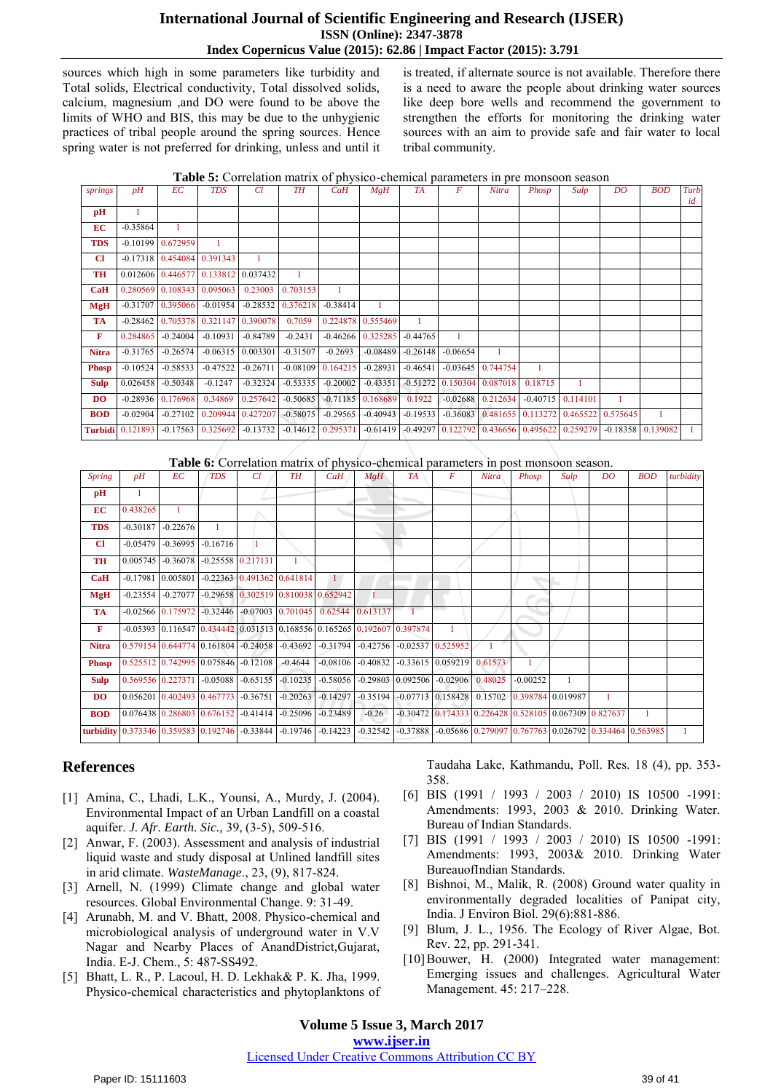## **International Journal of Scientific Engineering and Research (IJSER) ISSN (Online): 2347-3878 Index Copernicus Value (2015): 62.86 | Impact Factor (2015): 3.791**

sources which high in some parameters like turbidity and Total solids, Electrical conductivity, Total dissolved solids, calcium, magnesium ,and DO were found to be above the limits of WHO and BIS, this may be due to the unhygienic practices of tribal people around the spring sources. Hence spring water is not preferred for drinking, unless and until it is treated, if alternate source is not available. Therefore there is a need to aware the people about drinking water sources like deep bore wells and recommend the government to strengthen the efforts for monitoring the drinking water sources with an aim to provide safe and fair water to local tribal community.

|  |  |  | <b>Table 5:</b> Correlation matrix of physico-chemical parameters in pre monsoon season |
|--|--|--|-----------------------------------------------------------------------------------------|
|  |  |  |                                                                                         |

| springs      | $\n  pH\n$              | EC                                  | <b>TDS</b>                   | CI.                 | TH                       | CaH                 | MgH                 | <b>TA</b>  | F          | Nitra                                                                                   | Phosp   | Sulp | DO | <b>BOD</b> | Turb<br>id |
|--------------|-------------------------|-------------------------------------|------------------------------|---------------------|--------------------------|---------------------|---------------------|------------|------------|-----------------------------------------------------------------------------------------|---------|------|----|------------|------------|
| pH           |                         |                                     |                              |                     |                          |                     |                     |            |            |                                                                                         |         |      |    |            |            |
| <b>EC</b>    | $-0.35864$              |                                     |                              |                     |                          |                     |                     |            |            |                                                                                         |         |      |    |            |            |
| <b>TDS</b>   |                         | $-0.10199$ 0.672959                 |                              |                     |                          |                     |                     |            |            |                                                                                         |         |      |    |            |            |
| <b>CI</b>    |                         | $-0.17318$ 0.454084 0.391343        |                              |                     |                          |                     |                     |            |            |                                                                                         |         |      |    |            |            |
| TH           |                         | 0.012606 0.446577 0.133812 0.037432 |                              |                     | $\mathbf{1}$             |                     |                     |            |            |                                                                                         |         |      |    |            |            |
| CaH          |                         | 0.280569 0.108343 0.095063          |                              | 0.23003             | 0.703153                 |                     |                     |            |            |                                                                                         |         |      |    |            |            |
| <b>MgH</b>   |                         | $-0.31707$ 0.395066 $-0.01954$      |                              |                     | $-0.28532 \mid 0.376218$ | $-0.38414$          |                     |            |            |                                                                                         |         |      |    |            |            |
| <b>TA</b>    | $-0.28462$              |                                     | 0.705378 0.321147 0.390078   |                     | 0.7059                   |                     | 0.224878 0.555469   |            |            |                                                                                         |         |      |    |            |            |
| F            | 0.284865                | $-0.24004$                          | $-0.10931$                   | $-0.84789$          | $-0.2431$                |                     | $-0.46266$ 0.325285 | $-0.44765$ |            |                                                                                         |         |      |    |            |            |
| <b>Nitra</b> | $-0.31765$              | $-0.26574$                          |                              | $-0.06315$ 0.003301 | $-0.31507$               | $-0.2693$           | $-0.08489$          | $-0.26148$ | $-0.06654$ | 1                                                                                       |         |      |    |            |            |
| <b>Phosp</b> | $-0.10524$              | $-0.58533$                          | $-0.47522$                   | $-0.26711$          |                          | $-0.08109$ 0.164215 | $-0.28931$          | $-0.46541$ |            | $-0.03645$ 0.744754                                                                     |         |      |    |            |            |
| Sulp         | 0.026458                | $-0.50348$                          | $-0.1247$                    | $-0.32324$          | $-0.53335$               | $-0.20002$          | $-0.43351$          |            |            | $-0.51272$ 0.150304 0.087018                                                            | 0.18715 |      |    |            |            |
| <b>DO</b>    |                         | $-0.28936 \mid 0.176968 \mid$       | 0.34869                      | 0.257642            | $-0.50685$               | $-0.71185$ 0.168689 |                     | 0.1922     |            | $-0.02688$ $0.212634$ $-0.40715$ $0.114101$                                             |         |      |    |            |            |
| <b>BOD</b>   | $-0.02904$              |                                     | $-0.27102$ 0.209944 0.427207 |                     | $-0.58075$               | $-0.29565$          |                     |            |            | $-0.40943$ $-0.19533$ $-0.36083$ $0.481655$ $0.113272$ $0.465522$ $0.575645$            |         |      |    |            |            |
|              | <b>Turbidi</b> 0.121893 |                                     | $-0.17563 \quad 0.325692$    | $-0.13732$          |                          | $-0.14612$ 0.295371 |                     |            |            | $-0.61419$ $-0.49297$ $0.122792$ $0.436656$ $0.495622$ $0.259279$ $-0.18358$ $0.139082$ |         |      |    |            |            |

**Table 6:** Correlation matrix of physico-chemical parameters in post monsoon season.

| <b>Spring</b> | pH       | EC                               | <b>TDS</b>     | Cl                                                                                                           | <b>TH</b> | CaH          | MgH     | <b>TA</b> | $\overline{F}$ | Nitra | Phosp                                                                                                                              | Sulp | DO                                                                                                                                      | <b>BOD</b> | turbidity |
|---------------|----------|----------------------------------|----------------|--------------------------------------------------------------------------------------------------------------|-----------|--------------|---------|-----------|----------------|-------|------------------------------------------------------------------------------------------------------------------------------------|------|-----------------------------------------------------------------------------------------------------------------------------------------|------------|-----------|
| pH            |          |                                  |                |                                                                                                              |           |              |         |           |                |       |                                                                                                                                    |      |                                                                                                                                         |            |           |
| EC            | 0.438265 |                                  |                |                                                                                                              |           |              |         |           |                |       |                                                                                                                                    |      |                                                                                                                                         |            |           |
| <b>TDS</b>    |          | $-0.30187$ $-0.22676$            | $\overline{1}$ |                                                                                                              |           |              |         |           |                |       |                                                                                                                                    |      |                                                                                                                                         |            |           |
| $\mathbf{C}$  |          | $-0.05479$ $-0.36995$ $-0.16716$ |                | $\overline{1}$                                                                                               |           |              |         |           |                |       |                                                                                                                                    |      |                                                                                                                                         |            |           |
| TH            |          |                                  |                | $0.005745$ -0.36078 -0.25558 0.217131                                                                        |           |              |         |           |                |       |                                                                                                                                    |      |                                                                                                                                         |            |           |
| CaH           |          |                                  |                | $-0.17981$ $0.005801$ $-0.22363$ $0.491362$ $0.641814$                                                       |           | $\mathbf{1}$ |         |           |                |       |                                                                                                                                    |      |                                                                                                                                         |            |           |
| <b>MgH</b>    |          |                                  |                | $-0.23554$ $-0.27077$ $-0.29658$ $0.302519$ $0.810038$ $0.652942$                                            |           |              |         |           |                |       |                                                                                                                                    |      |                                                                                                                                         |            |           |
| <b>TA</b>     |          |                                  |                | $-0.02566$ $0.175972$ $-0.32446$ $-0.07003$ $0.701045$ $0.62544$ $0.613137$                                  |           |              |         |           |                |       |                                                                                                                                    |      |                                                                                                                                         |            |           |
| $\mathbf{F}$  |          |                                  |                | $-0.05393$ 0.116547 0.434442 0.031513 0.168556 0.165265 0.192607 0.397874                                    |           |              |         |           | $\mathbf{1}$   |       |                                                                                                                                    |      |                                                                                                                                         |            |           |
| <b>Nitra</b>  |          |                                  |                | $0.579154$ $0.644774$ $0.161804$ $-0.24058$ $-0.43692$ $-0.31794$ $-0.42756$ $-0.02537$ $0.525952$           |           |              |         |           |                |       |                                                                                                                                    |      |                                                                                                                                         |            |           |
| <b>Phosp</b>  |          |                                  |                | $\left[0.525512\right]0.742995\right]0.075846$ -0.12108 -0.4644 -0.08106 -0.40832 -0.33615 0.059219 0.61573  |           |              |         |           |                |       |                                                                                                                                    |      |                                                                                                                                         |            |           |
| Sulp          |          |                                  |                | $0.569556$ $0.227371$ $-0.05088$ $-0.65155$ $-0.10235$ $-0.58056$ $-0.29803$ $0.092506$ $-0.02906$ $0.48025$ |           |              |         |           |                |       | $-0.00252$                                                                                                                         |      |                                                                                                                                         |            |           |
| DO.           |          |                                  |                |                                                                                                              |           |              |         |           |                |       | $0.056201$ $0.402493$ $0.467773$ $-0.36751$ $-0.20263$ $-0.14297$ $-0.35194$ $-0.07713$ $0.158428$ $0.15702$ $0.398784$ $0.019987$ |      |                                                                                                                                         |            |           |
| <b>BOD</b>    |          |                                  |                | $\vert 0.076438 \vert 0.286803 \vert 0.676152 \vert -0.41414 \vert -0.25096 \vert -0.23489 \vert$            |           |              | $-0.26$ |           |                |       |                                                                                                                                    |      | $-0.30472$ $0.174333$ $0.226428$ $0.528105$ $0.067309$ $0.827637$                                                                       |            |           |
|               |          |                                  |                |                                                                                                              |           |              |         |           |                |       |                                                                                                                                    |      | turbidity 0.373346 0.359583 0.192746 -0.33844 -0.19746 -0.14223 -0.32542 -0.37888 -0.05686 0.279097 0.767763 0.026792 0.334464 0.563985 |            |           |

# **References**

- [1] Amina, C., Lhadi, L.K., Younsi, A., Murdy, J. (2004). Environmental Impact of an Urban Landfill on a coastal aquifer. *J. Afr. Earth. Sic.,* 39, (3-5), 509-516.
- [2] Anwar, F. (2003). Assessment and analysis of industrial liquid waste and study disposal at Unlined landfill sites in arid climate. *WasteManage*., 23, (9), 817-824.
- [3] Arnell, N. (1999) Climate change and global water resources. Global Environmental Change. 9: 31-49.
- [4] Arunabh, M. and V. Bhatt, 2008. Physico-chemical and microbiological analysis of underground water in V.V Nagar and Nearby Places of AnandDistrict,Gujarat, India. E-J. Chem., 5: 487-SS492.
- [5] Bhatt, L. R., P. Lacoul, H. D. Lekhak& P. K. Jha, 1999. Physico-chemical characteristics and phytoplanktons of

Taudaha Lake, Kathmandu, Poll. Res. 18 (4), pp. 353- 358.

- [6] BIS (1991 / 1993 / 2003 / 2010) IS 10500 -1991: Amendments: 1993, 2003 & 2010. Drinking Water. Bureau of Indian Standards.
- [7] BIS (1991 / 1993 / 2003 / 2010) IS 10500 -1991: Amendments: 1993, 2003& 2010. Drinking Water BureauofIndian Standards.
- [8] Bishnoi, M., Malik, R. (2008) Ground water quality in environmentally degraded localities of Panipat city, India. J Environ Biol. 29(6):881-886.
- [9] Blum, J. L., 1956. The Ecology of River Algae, Bot. Rev. 22, pp. 291-341.
- [10]Bouwer, H. (2000) Integrated water management: Emerging issues and challenges. Agricultural Water Management. 45: 217–228.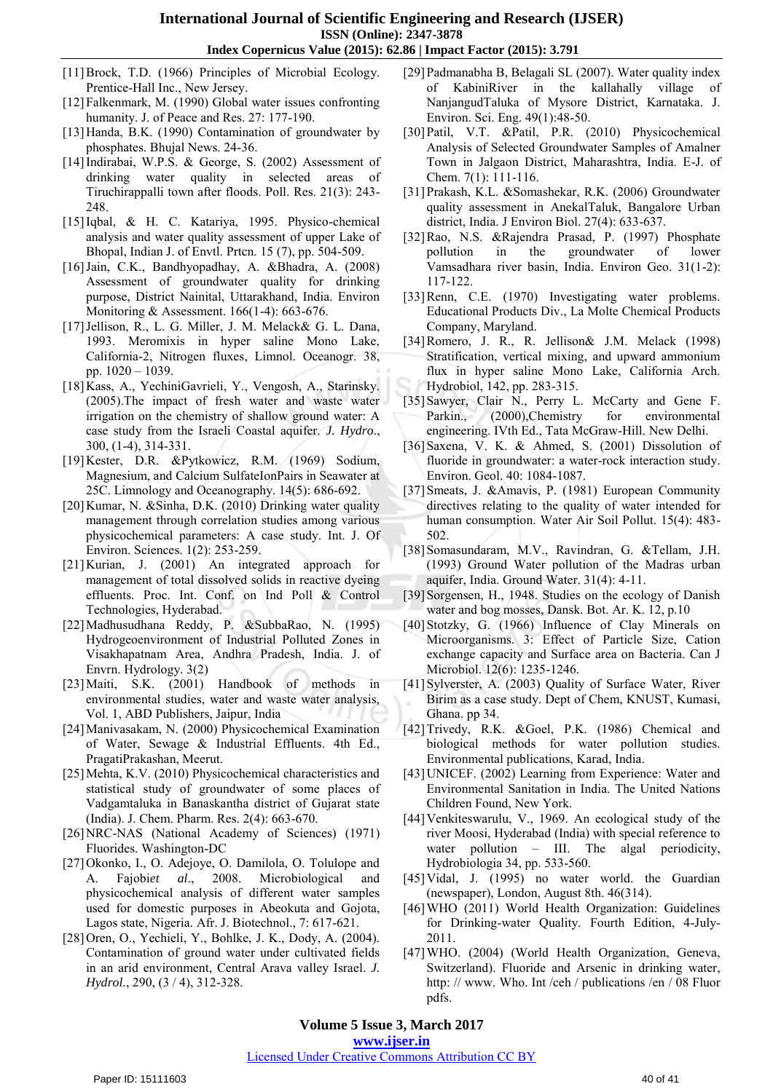- [11]Brock, T.D. (1966) Principles of Microbial Ecology. Prentice-Hall Inc., New Jersey.
- [12] Falkenmark, M. (1990) Global water issues confronting humanity. J. of Peace and Res. 27: 177-190.
- [13]Handa, B.K. (1990) Contamination of groundwater by phosphates. Bhujal News. 24-36.
- [14]Indirabai, W.P.S. & George, S. (2002) Assessment of drinking water quality in selected areas of Tiruchirappalli town after floods. Poll. Res. 21(3): 243- 248.
- [15]Iqbal, & H. C. Katariya, 1995. Physico-chemical analysis and water quality assessment of upper Lake of Bhopal, Indian J. of Envtl. Prtcn. 15 (7), pp. 504-509.
- [16]Jain, C.K., Bandhyopadhay, A. &Bhadra, A. (2008) Assessment of groundwater quality for drinking purpose, District Nainital, Uttarakhand, India. Environ Monitoring & Assessment. 166(1-4): 663-676.
- [17]Jellison, R., L. G. Miller, J. M. Melack& G. L. Dana, 1993. Meromixis in hyper saline Mono Lake, California-2, Nitrogen fluxes, Limnol. Oceanogr. 38, pp. 1020 – 1039.
- [18]Kass, A., YechiniGavrieli, Y., Vengosh, A., Starinsky. (2005).The impact of fresh water and waste water irrigation on the chemistry of shallow ground water: A case study from the Israeli Coastal aquifer. *J. Hydro*., 300, (1-4), 314-331.
- [19]Kester, D.R. &Pytkowicz, R.M. (1969) Sodium, Magnesium, and Calcium SulfateIonPairs in Seawater at 25C. Limnology and Oceanography. 14(5): 686-692.
- [20]Kumar, N. &Sinha, D.K. (2010) Drinking water quality management through correlation studies among various physicochemical parameters: A case study. Int. J. Of Environ. Sciences. 1(2): 253-259.
- [21]Kurian, J. (2001) An integrated approach for management of total dissolved solids in reactive dyeing effluents. Proc. Int. Conf. on Ind Poll & Control Technologies, Hyderabad.
- [22]Madhusudhana Reddy, P. &SubbaRao, N. (1995) Hydrogeoenvironment of Industrial Polluted Zones in Visakhapatnam Area, Andhra Pradesh, India. J. of Envrn. Hydrology. 3(2)
- [23]Maiti, S.K. (2001) Handbook of methods in environmental studies, water and waste water analysis, Vol. 1, ABD Publishers, Jaipur, India
- [24]Manivasakam, N. (2000) Physicochemical Examination of Water, Sewage & Industrial Effluents. 4th Ed., PragatiPrakashan, Meerut.
- [25]Mehta, K.V. (2010) Physicochemical characteristics and statistical study of groundwater of some places of Vadgamtaluka in Banaskantha district of Gujarat state (India). J. Chem. Pharm. Res. 2(4): 663-670.
- [26]NRC-NAS (National Academy of Sciences) (1971) Fluorides. Washington-DC
- [27]Okonko, I., O. Adejoye, O. Damilola, O. Tolulope and A. Fajobi*et al*., 2008. Microbiological and physicochemical analysis of different water samples used for domestic purposes in Abeokuta and Gojota, Lagos state, Nigeria. Afr. J. Biotechnol., 7: 617-621.
- [28]Oren, O., Yechieli, Y., Bohlke, J. K., Dody, A. (2004). Contamination of ground water under cultivated fields in an arid environment, Central Arava valley Israel. *J. Hydrol.*, 290, (3 / 4), 312-328.
- [29]Padmanabha B, Belagali SL (2007). Water quality index of KabiniRiver in the kallahally village of NanjangudTaluka of Mysore District, Karnataka. J. Environ. Sci. Eng. 49(1):48-50.
- [30]Patil, V.T. &Patil, P.R. (2010) Physicochemical Analysis of Selected Groundwater Samples of Amalner Town in Jalgaon District, Maharashtra, India. E-J. of Chem. 7(1): 111-116.
- [31]Prakash, K.L. &Somashekar, R.K. (2006) Groundwater quality assessment in AnekalTaluk, Bangalore Urban district, India. J Environ Biol. 27(4): 633-637.
- [32]Rao, N.S. &Rajendra Prasad, P. (1997) Phosphate pollution in the groundwater of lower Vamsadhara river basin, India. Environ Geo. 31(1-2): 117-122.
- [33]Renn, C.E. (1970) Investigating water problems. Educational Products Div., La Molte Chemical Products Company, Maryland.
- [34]Romero, J. R., R. Jellison& J.M. Melack (1998) Stratification, vertical mixing, and upward ammonium flux in hyper saline Mono Lake, California Arch. Hydrobiol, 142, pp. 283-315.
- [35] Sawyer, Clair N., Perry L. McCarty and Gene F. Parkin., (2000), Chemistry for environmental engineering. IVth Ed., Tata McGraw-Hill. New Delhi.
- [36]Saxena, V. K. & Ahmed, S. (2001) Dissolution of fluoride in groundwater: a water-rock interaction study. Environ. Geol. 40: 1084-1087.
- [37]Smeats, J. &Amavis, P. (1981) European Community directives relating to the quality of water intended for human consumption. Water Air Soil Pollut. 15(4): 483- 502.
- [38]Somasundaram, M.V., Ravindran, G. &Tellam, J.H. (1993) Ground Water pollution of the Madras urban aquifer, India. Ground Water. 31(4): 4-11.
- [39] Sorgensen, H., 1948. Studies on the ecology of Danish water and bog mosses, Dansk. Bot. Ar. K. 12, p.10
- [40]Stotzky, G. (1966) Influence of Clay Minerals on Microorganisms. 3: Effect of Particle Size, Cation exchange capacity and Surface area on Bacteria. Can J Microbiol. 12(6): 1235-1246.
- [41]Sylverster, A. (2003) Quality of Surface Water, River Birim as a case study. Dept of Chem, KNUST, Kumasi, Ghana. pp 34.
- [42]Trivedy, R.K. &Goel, P.K. (1986) Chemical and biological methods for water pollution studies. Environmental publications, Karad, India.
- [43]UNICEF. (2002) Learning from Experience: Water and Environmental Sanitation in India. The United Nations Children Found, New York.
- [44] Venkiteswarulu, V., 1969. An ecological study of the river Moosi, Hyderabad (India) with special reference to water pollution – III. The algal periodicity, Hydrobiologia 34, pp. 533-560.
- [45] Vidal, J. (1995) no water world. the Guardian (newspaper), London, August 8th. 46(314).
- [46]WHO (2011) World Health Organization: Guidelines for Drinking-water Quality. Fourth Edition, 4-July-2011.
- [47]WHO. (2004) (World Health Organization, Geneva, Switzerland). Fluoride and Arsenic in drinking water, http: // www. Who. Int /ceh / publications /en / 08 Fluor pdfs.

**Volume 5 Issue 3, March 2017** 

**www.ijser.in**

## Licensed Under Creative Commons Attribution CC BY